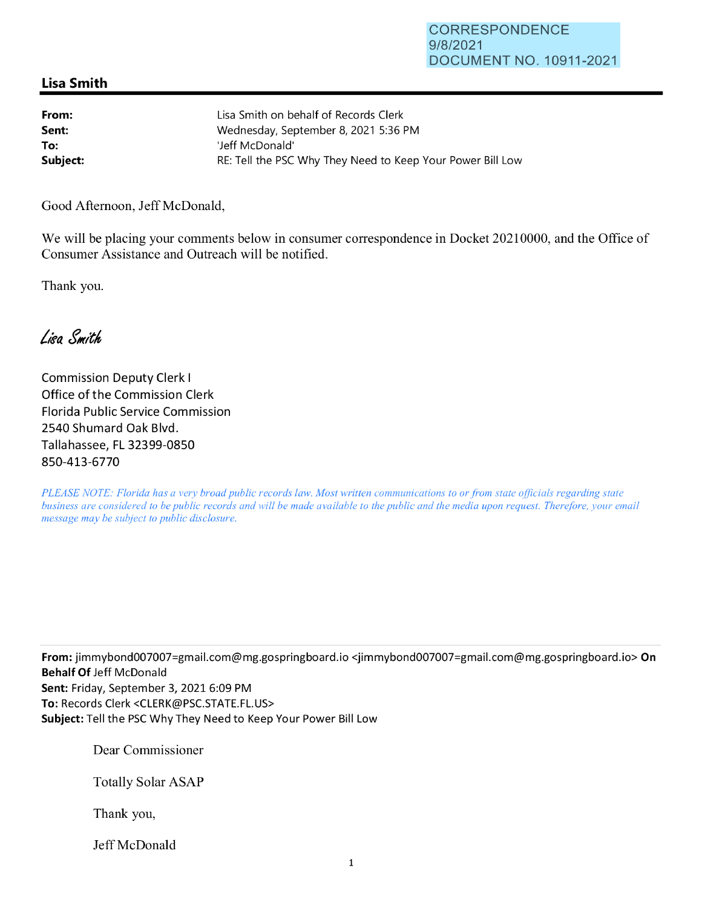## **Lisa Smith**

| From:    | Lisa Smith on behalf of Records Clerk                      |
|----------|------------------------------------------------------------|
| Sent:    | Wednesday, September 8, 2021 5:36 PM                       |
| To:      | 'Jeff McDonald'                                            |
| Subject: | RE: Tell the PSC Why They Need to Keep Your Power Bill Low |

Good Afternoon, Jeff McDonald,

We will be placing your comments below in consumer correspondence in Docket 20210000, and the Office of Consumer Assistance and Outreach will be notified.

Thank you.

Lisa Smith

Commission Deputy Clerk I Office of the Commission Clerk Florida Public Service Commission 2540 Shumard Oak Blvd. Tallahassee, FL 32399-0850 850-413-6770

*PLEASE NOTE: Florida has a very broad public records law. Most written communications to or from state officials regarding state business are considered to be public records and will be made available to the public and the media upon request. Therefore, your email message may be subject to public disclosure.* 

**From:** jimmybond007007=gmai1.com@mg.gospringboard.io <jimmybond007007=gmai1.com@mg.gospringboard.io> **On Behalf Of** Jeff McDonald **Sent:** Friday, September 3, 2021 6:09 PM **To:** Records Clerk <CLERK@PSC.STATE.FL.US> **Subject:** Tell the PSC Why They Need to Keep Your Power Bill Low

Dear Commissioner

Totally Solar ASAP

Thank you,

Jeff McDonald